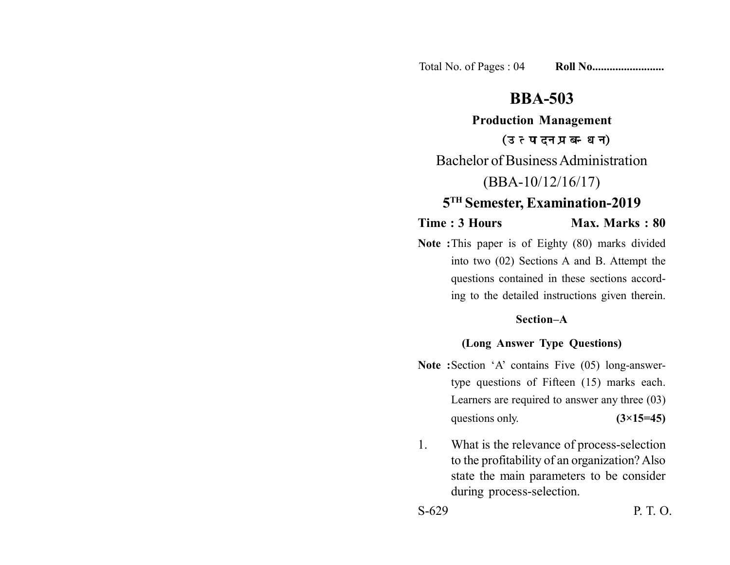Total No. of Pages : 04 **Roll No......................** 

# **BBA-503**

**Production Management** (उत्पादन प्रबन्धन) Bachelor of Business Administration (BBA-10/12/16/17)

# **5TH Semester, Examination-2019**

**Time : 3 Hours Max. Marks : 80** 

**Note :**This paper is of Eighty (80) marks divided into two (02) Sections A and B. Attempt the questions contained in these sections according to the detailed instructions given therein.

## **Section–A**

## **(Long Answer Type Questions)**

- **Note :**Section 'A' contains Five (05) long-answertype questions of Fifteen (15) marks each. Learners are required to answer any three (03) questions only.  $(3\times15=45)$
- 1. What is the relevance of process-selection to the profitability of an organization? Also state the main parameters to be consider during process-selection.

S-629 P. T. O.